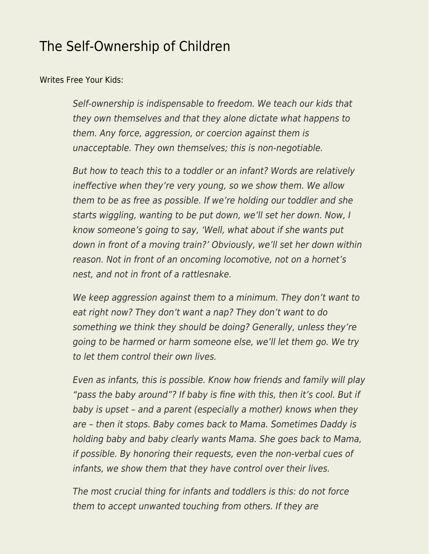## [The Self-Ownership of Children](https://everything-voluntary.com/the-self-ownership-of-children)

[Writes Free Your Kids:](https://www.facebook.com/freeyourkids/posts/511742368867314)

Self-ownership is indispensable to freedom. We teach our kids that they own themselves and that they alone dictate what happens to them. Any force, aggression, or coercion against them is unacceptable. They own themselves; this is non-negotiable.

But how to teach this to a toddler or an infant? Words are relatively ineffective when they're very young, so we show them. We allow them to be as free as possible. If we're holding our toddler and she starts wiggling, wanting to be put down, we'll set her down. Now, I know someone's going to say, 'Well, what about if she wants put down in front of a moving train?' Obviously, we'll set her down within reason. Not in front of an oncoming locomotive, not on a hornet's nest, and not in front of a rattlesnake.

We keep aggression against them to a minimum. They don't want to eat right now? They don't want a nap? They don't want to do something we think they should be doing? Generally, unless they're going to be harmed or harm someone else, we'll let them go. We try to let them control their own lives.

Even as infants, this is possible. Know how friends and family will play "pass the baby around"? If baby is fine with this, then it's cool. But if baby is upset – and a parent (especially a mother) knows when they are – then it stops. Baby comes back to Mama. Sometimes Daddy is holding baby and baby clearly wants Mama. She goes back to Mama, if possible. By honoring their requests, even the non-verbal cues of infants, we show them that they have control over their lives.

The most crucial thing for infants and toddlers is this: do not force them to accept unwanted touching from others. If they are